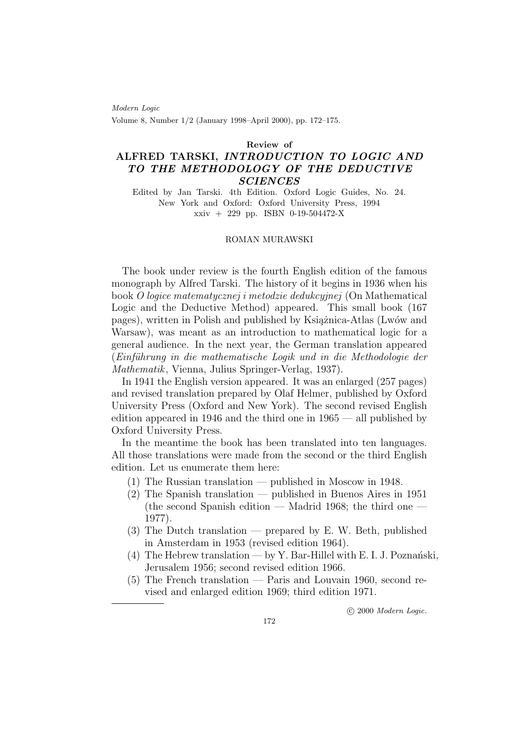Modern Logic Volume 8, Number 1/2 (January 1998–April 2000), pp. 172–175.

Review of

## ALFRED TARSKI, INTRODUCTION TO LOGIC AND TO THE METHODOLOGY OF THE DEDUCTIVE **SCIENCES**

Edited by Jan Tarski. 4th Edition. Oxford Logic Guides, No. 24. New York and Oxford: Oxford University Press, 1994 xxiv + 229 pp. ISBN 0-19-504472-X

## ROMAN MURAWSKI

The book under review is the fourth English edition of the famous monograph by Alfred Tarski. The history of it begins in 1936 when his book O logice matematycznej i metodzie dedukcyjnej (On Mathematical Logic and the Deductive Method) appeared. This small book (167 pages), written in Polish and published by Książnica-Atlas (Lwów and Warsaw), was meant as an introduction to mathematical logic for a general audience. In the next year, the German translation appeared (Einführung in die mathematische Logik und in die Methodologie der Mathematik, Vienna, Julius Springer-Verlag, 1937).

In 1941 the English version appeared. It was an enlarged (257 pages) and revised translation prepared by Olaf Helmer, published by Oxford University Press (Oxford and New York). The second revised English edition appeared in 1946 and the third one in 1965 — all published by Oxford University Press.

In the meantime the book has been translated into ten languages. All those translations were made from the second or the third English edition. Let us enumerate them here:

- (1) The Russian translation published in Moscow in 1948.
- (2) The Spanish translation published in Buenos Aires in 1951 (the second Spanish edition — Madrid 1968; the third one — 1977).
- (3) The Dutch translation prepared by E. W. Beth, published in Amsterdam in 1953 (revised edition 1964).
- (4) The Hebrew translation by Y. Bar-Hillel with E. I. J. Poznański, Jerusalem 1956; second revised edition 1966.
- (5) The French translation Paris and Louvain 1960, second revised and enlarged edition 1969; third edition 1971.

c 2000 Modern Logic.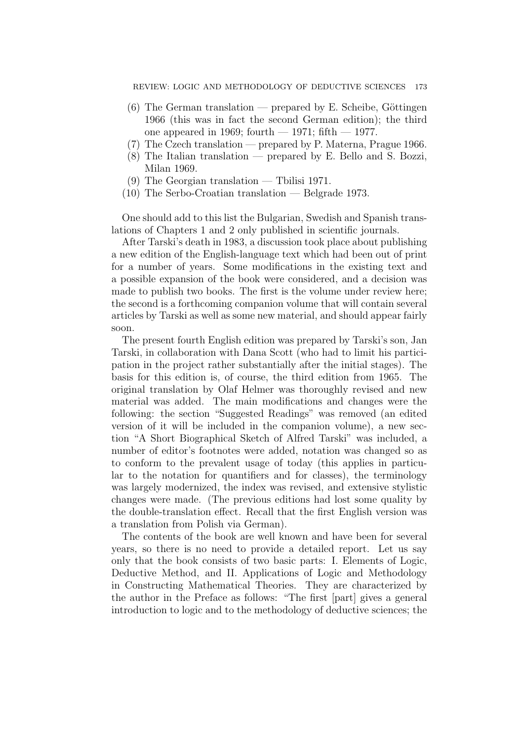- $(6)$  The German translation prepared by E. Scheibe, Göttingen 1966 (this was in fact the second German edition); the third one appeared in 1969; fourth  $-$  1971; fifth  $-$  1977.
- (7) The Czech translation prepared by P. Materna, Prague 1966.
- (8) The Italian translation prepared by E. Bello and S. Bozzi, Milan 1969.
- (9) The Georgian translation Tbilisi 1971.
- (10) The Serbo-Croatian translation Belgrade 1973.

One should add to this list the Bulgarian, Swedish and Spanish translations of Chapters 1 and 2 only published in scientific journals.

After Tarski's death in 1983, a discussion took place about publishing a new edition of the English-language text which had been out of print for a number of years. Some modifications in the existing text and a possible expansion of the book were considered, and a decision was made to publish two books. The first is the volume under review here; the second is a forthcoming companion volume that will contain several articles by Tarski as well as some new material, and should appear fairly soon.

The present fourth English edition was prepared by Tarski's son, Jan Tarski, in collaboration with Dana Scott (who had to limit his participation in the project rather substantially after the initial stages). The basis for this edition is, of course, the third edition from 1965. The original translation by Olaf Helmer was thoroughly revised and new material was added. The main modifications and changes were the following: the section "Suggested Readings" was removed (an edited version of it will be included in the companion volume), a new section "A Short Biographical Sketch of Alfred Tarski" was included, a number of editor's footnotes were added, notation was changed so as to conform to the prevalent usage of today (this applies in particular to the notation for quantifiers and for classes), the terminology was largely modernized, the index was revised, and extensive stylistic changes were made. (The previous editions had lost some quality by the double-translation effect. Recall that the first English version was a translation from Polish via German).

The contents of the book are well known and have been for several years, so there is no need to provide a detailed report. Let us say only that the book consists of two basic parts: I. Elements of Logic, Deductive Method, and II. Applications of Logic and Methodology in Constructing Mathematical Theories. They are characterized by the author in the Preface as follows: "The first [part] gives a general introduction to logic and to the methodology of deductive sciences; the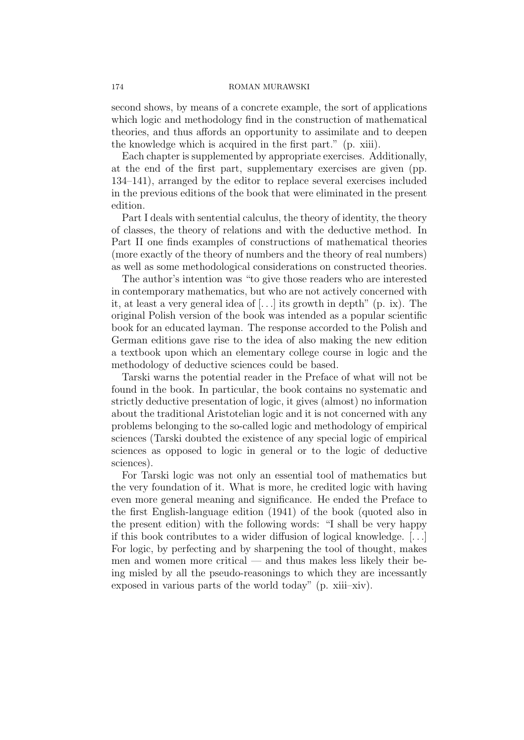## 174 ROMAN MURAWSKI

second shows, by means of a concrete example, the sort of applications which logic and methodology find in the construction of mathematical theories, and thus affords an opportunity to assimilate and to deepen the knowledge which is acquired in the first part." (p. xiii).

Each chapter is supplemented by appropriate exercises. Additionally, at the end of the first part, supplementary exercises are given (pp. 134–141), arranged by the editor to replace several exercises included in the previous editions of the book that were eliminated in the present edition.

Part I deals with sentential calculus, the theory of identity, the theory of classes, the theory of relations and with the deductive method. In Part II one finds examples of constructions of mathematical theories (more exactly of the theory of numbers and the theory of real numbers) as well as some methodological considerations on constructed theories.

The author's intention was "to give those readers who are interested in contemporary mathematics, but who are not actively concerned with it, at least a very general idea of  $[...]$  its growth in depth" (p. ix). The original Polish version of the book was intended as a popular scientific book for an educated layman. The response accorded to the Polish and German editions gave rise to the idea of also making the new edition a textbook upon which an elementary college course in logic and the methodology of deductive sciences could be based.

Tarski warns the potential reader in the Preface of what will not be found in the book. In particular, the book contains no systematic and strictly deductive presentation of logic, it gives (almost) no information about the traditional Aristotelian logic and it is not concerned with any problems belonging to the so-called logic and methodology of empirical sciences (Tarski doubted the existence of any special logic of empirical sciences as opposed to logic in general or to the logic of deductive sciences).

For Tarski logic was not only an essential tool of mathematics but the very foundation of it. What is more, he credited logic with having even more general meaning and significance. He ended the Preface to the first English-language edition (1941) of the book (quoted also in the present edition) with the following words: "I shall be very happy if this book contributes to a wider diffusion of logical knowledge. [. . .] For logic, by perfecting and by sharpening the tool of thought, makes men and women more critical — and thus makes less likely their being misled by all the pseudo-reasonings to which they are incessantly exposed in various parts of the world today" (p. xiii–xiv).